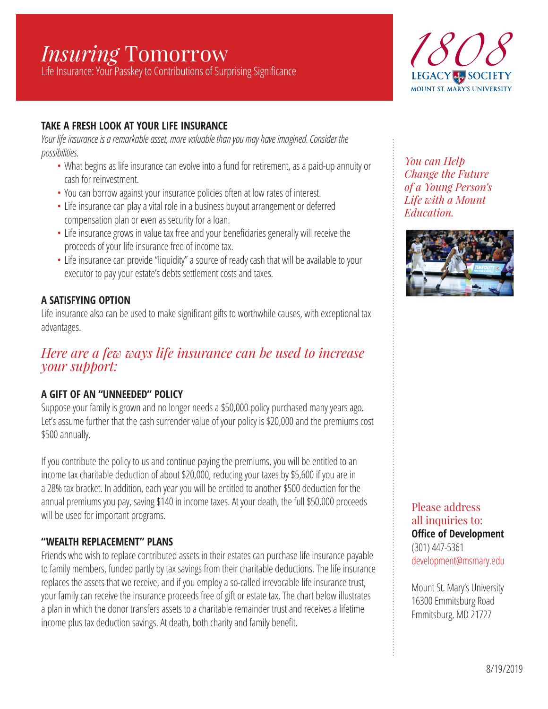# *Insuring* Tomorrow

Life Insurance: Your Passkey to Contributions of Surprising Significance



## **TAKE A FRESH LOOK AT YOUR LIFE INSURANCE**

*Your life insurance is a remarkable asset, more valuable than you may have imagined. Consider the possibilities.* 

- What begins as life insurance can evolve into a fund for retirement, as a paid-up annuity or cash for reinvestment.
- You can borrow against your insurance policies often at low rates of interest.
- Life insurance can play a vital role in a business buyout arrangement or deferred compensation plan or even as security for a loan.
- Life insurance grows in value tax free and your beneficiaries generally will receive the proceeds of your life insurance free of income tax.
- Life insurance can provide "liquidity" a source of ready cash that will be available to your executor to pay your estate's debts settlement costs and taxes.

## **A SATISFYING OPTION**

Life insurance also can be used to make significant gifts to worthwhile causes, with exceptional tax advantages.

# *Here are a few ways life insurance can be used to increase your support:*

## **A GIFT OF AN "UNNEEDED" POLICY**

Suppose your family is grown and no longer needs a \$50,000 policy purchased many years ago. Let's assume further that the cash surrender value of your policy is \$20,000 and the premiums cost \$500 annually.

If you contribute the policy to us and continue paying the premiums, you will be entitled to an income tax charitable deduction of about \$20,000, reducing your taxes by \$5,600 if you are in a 28% tax bracket. In addition, each year you will be entitled to another \$500 deduction for the annual premiums you pay, saving \$140 in income taxes. At your death, the full \$50,000 proceeds will be used for important programs.

#### **"WEALTH REPLACEMENT" PLANS**

Friends who wish to replace contributed assets in their estates can purchase life insurance payable to family members, funded partly by tax savings from their charitable deductions. The life insurance replaces the assets that we receive, and if you employ a so-called irrevocable life insurance trust, your family can receive the insurance proceeds free of gift or estate tax. The chart below illustrates a plan in which the donor transfers assets to a charitable remainder trust and receives a lifetime income plus tax deduction savings. At death, both charity and family benefit.

*You can Help Change the Future of a Young Person's Life with a Mount Education.* 



Please address all inquiries to: **Office of Development** (301) 447-5361 development@msmary.edu

Mount St. Mary's University 16300 Emmitsburg Road Emmitsburg, MD 21727